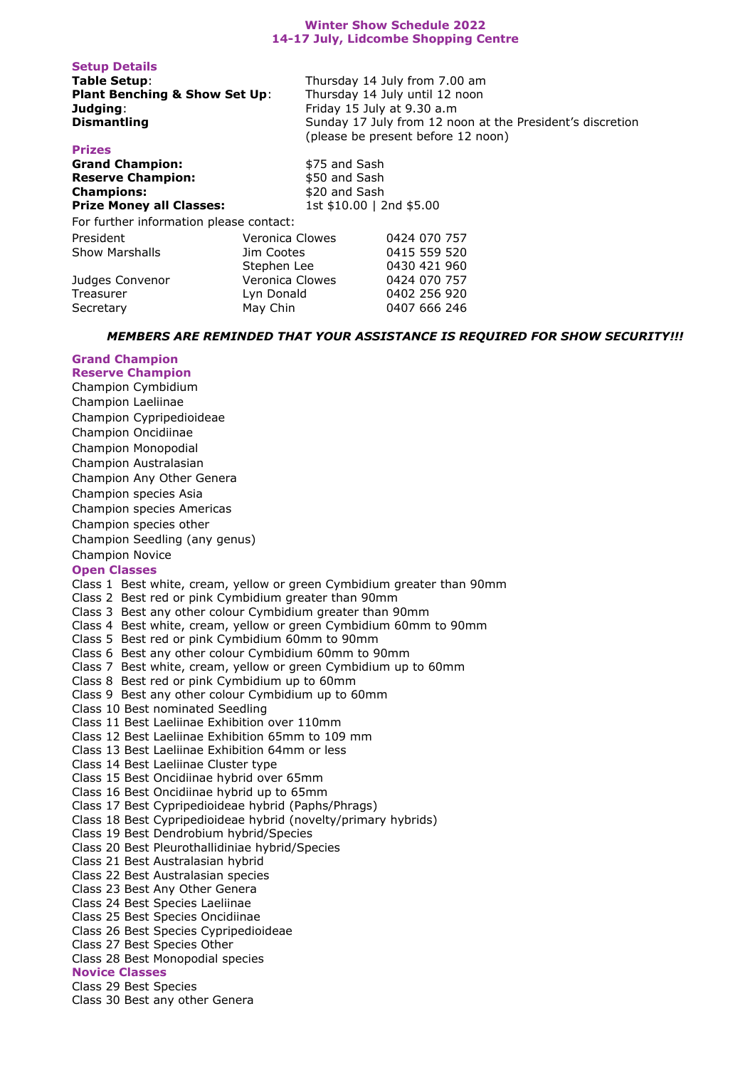## **Winter Show Schedule 2022 14-17 July, Lidcombe Shopping Centre**

| Table Setup:                             |                 | Thursday 14 July from 7.00 am                             |  |
|------------------------------------------|-----------------|-----------------------------------------------------------|--|
| <b>Plant Benching &amp; Show Set Up:</b> |                 | Thursday 14 July until 12 noon                            |  |
| Judging:                                 |                 | Friday 15 July at 9.30 a.m                                |  |
| <b>Dismantling</b>                       |                 | Sunday 17 July from 12 noon at the President's discretion |  |
|                                          |                 | (please be present before 12 noon)                        |  |
| <b>Prizes</b>                            |                 |                                                           |  |
| <b>Grand Champion:</b>                   | \$75 and Sash   |                                                           |  |
| <b>Reserve Champion:</b>                 | \$50 and Sash   |                                                           |  |
| <b>Champions:</b>                        | \$20 and Sash   |                                                           |  |
| <b>Prize Money all Classes:</b>          |                 | 1st \$10.00   2nd \$5.00                                  |  |
| For further information please contact:  |                 |                                                           |  |
| President                                | Veronica Clowes | 0424 070 757                                              |  |
| <b>Show Marshalls</b>                    | Jim Cootes      | 0415 559 520                                              |  |
|                                          | Stephen Lee     | 0430 421 960                                              |  |
| Judges Convenor                          | Veronica Clowes | 0424 070 757                                              |  |
| Treasurer                                | Lyn Donald      | 0402 256 920                                              |  |
| Secretary                                | May Chin        | 0407 666 246                                              |  |

## *MEMBERS ARE REMINDED THAT YOUR ASSISTANCE IS REQUIRED FOR SHOW SECURITY!!!*

## **Grand Champion Reserve Champion**

**Setup Details** 

Champion Cymbidium Champion Laeliinae Champion Cypripedioideae Champion Oncidiinae Champion Monopodial Champion Australasian Champion Any Other Genera Champion species Asia Champion species Americas Champion species other Champion Seedling (any genus) Champion Novice **Open Classes**  Class 1 Best white, cream, yellow or green Cymbidium greater than 90mm Class 2 Best red or pink Cymbidium greater than 90mm Class 3 Best any other colour Cymbidium greater than 90mm Class 4 Best white, cream, yellow or green Cymbidium 60mm to 90mm Class 5 Best red or pink Cymbidium 60mm to 90mm Class 6 Best any other colour Cymbidium 60mm to 90mm Class 7 Best white, cream, yellow or green Cymbidium up to 60mm Class 8 Best red or pink Cymbidium up to 60mm Class 9 Best any other colour Cymbidium up to 60mm Class 10 Best nominated Seedling Class 11 Best Laeliinae Exhibition over 110mm Class 12 Best Laeliinae Exhibition 65mm to 109 mm Class 13 Best Laeliinae Exhibition 64mm or less Class 14 Best Laeliinae Cluster type Class 15 Best Oncidiinae hybrid over 65mm Class 16 Best Oncidiinae hybrid up to 65mm Class 17 Best Cypripedioideae hybrid (Paphs/Phrags) Class 18 Best Cypripedioideae hybrid (novelty/primary hybrids) Class 19 Best Dendrobium hybrid/Species Class 20 Best Pleurothallidiniae hybrid/Species Class 21 Best Australasian hybrid Class 22 Best Australasian species Class 23 Best Any Other Genera Class 24 Best Species Laeliinae Class 25 Best Species Oncidiinae Class 26 Best Species Cypripedioideae Class 27 Best Species Other Class 28 Best Monopodial species **Novice Classes**  Class 29 Best Species Class 30 Best any other Genera